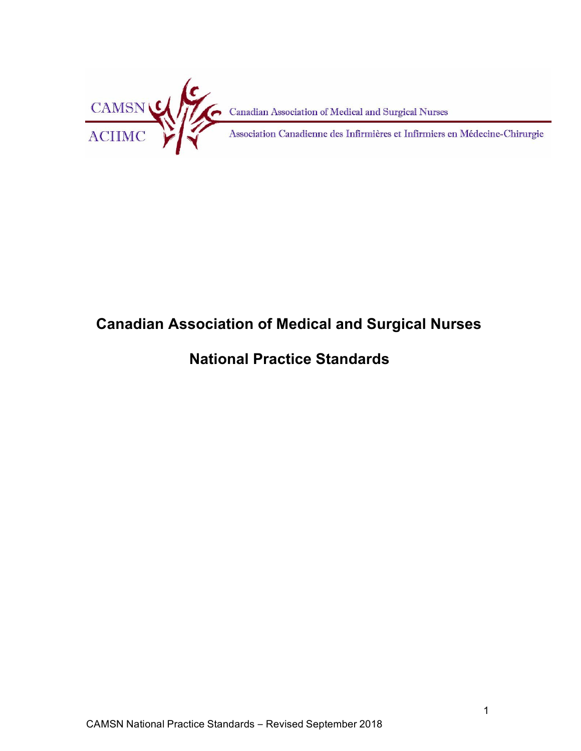

# **Canadian Association of Medical and Surgical Nurses**

# **National Practice Standards**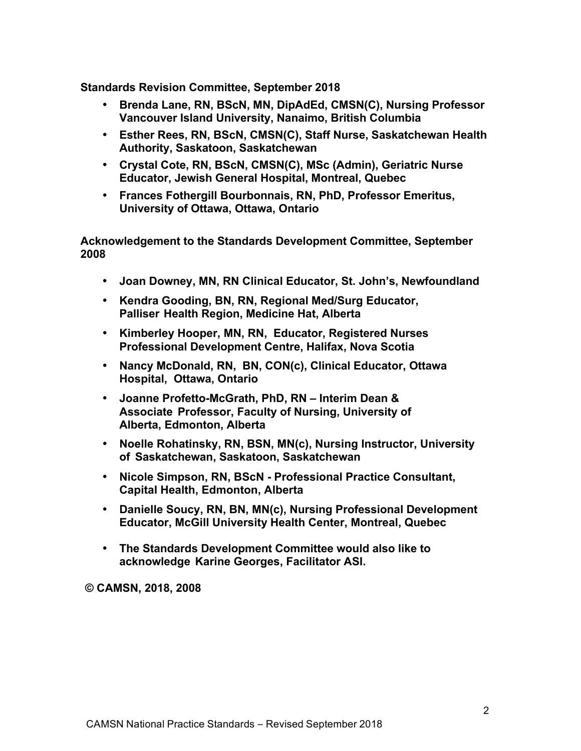**Standards Revision Committee, September 2018**

- **Brenda Lane, RN, BScN, MN, DipAdEd, CMSN(C), Nursing Professor Vancouver Island University, Nanaimo, British Columbia**
- **Esther Rees, RN, BScN, CMSN(C), Staff Nurse, Saskatchewan Health Authority, Saskatoon, Saskatchewan**
- **Crystal Cote, RN, BScN, CMSN(C), MSc (Admin), Geriatric Nurse Educator, Jewish General Hospital, Montreal, Quebec**
- **Frances Fothergill Bourbonnais, RN, PhD, Professor Emeritus, University of Ottawa, Ottawa, Ontario**

**Acknowledgement to the Standards Development Committee, September 2008**

- **Joan Downey, MN, RN Clinical Educator, St. John's, Newfoundland**
- **Kendra Gooding, BN, RN, Regional Med/Surg Educator, Palliser Health Region, Medicine Hat, Alberta**
- **Kimberley Hooper, MN, RN, Educator, Registered Nurses Professional Development Centre, Halifax, Nova Scotia**
- **Nancy McDonald, RN, BN, CON(c), Clinical Educator, Ottawa Hospital, Ottawa, Ontario**
- **Joanne Profetto-McGrath, PhD, RN – Interim Dean & Associate Professor, Faculty of Nursing, University of Alberta, Edmonton, Alberta**
- **Noelle Rohatinsky, RN, BSN, MN(c), Nursing Instructor, University of Saskatchewan, Saskatoon, Saskatchewan**
- **Nicole Simpson, RN, BScN - Professional Practice Consultant, Capital Health, Edmonton, Alberta**
- **Danielle Soucy, RN, BN, MN(c), Nursing Professional Development Educator, McGill University Health Center, Montreal, Quebec**
- **The Standards Development Committee would also like to acknowledge Karine Georges, Facilitator ASI.**

**© CAMSN, 2018, 2008**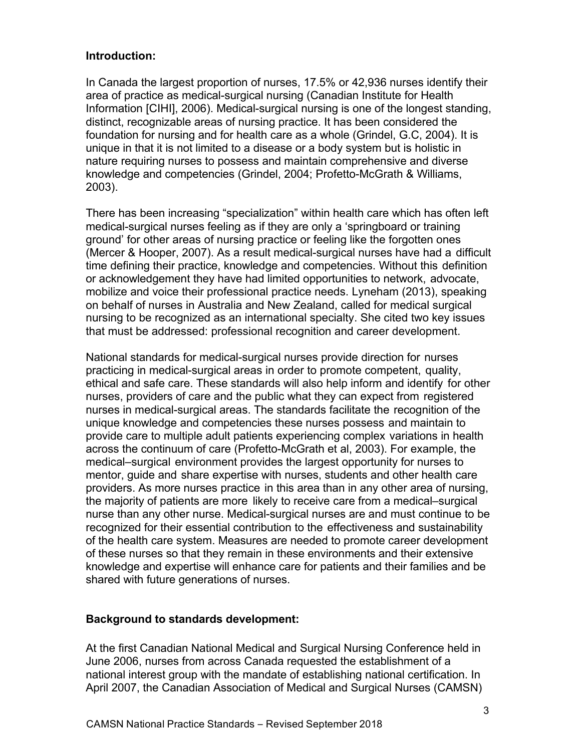#### **Introduction:**

In Canada the largest proportion of nurses, 17.5% or 42,936 nurses identify their area of practice as medical-surgical nursing (Canadian Institute for Health Information [CIHI], 2006). Medical-surgical nursing is one of the longest standing, distinct, recognizable areas of nursing practice. It has been considered the foundation for nursing and for health care as a whole (Grindel, G.C, 2004). It is unique in that it is not limited to a disease or a body system but is holistic in nature requiring nurses to possess and maintain comprehensive and diverse knowledge and competencies (Grindel, 2004; Profetto-McGrath & Williams, 2003).

There has been increasing "specialization" within health care which has often left medical-surgical nurses feeling as if they are only a 'springboard or training ground' for other areas of nursing practice or feeling like the forgotten ones (Mercer & Hooper, 2007). As a result medical-surgical nurses have had a difficult time defining their practice, knowledge and competencies. Without this definition or acknowledgement they have had limited opportunities to network, advocate, mobilize and voice their professional practice needs. Lyneham (2013), speaking on behalf of nurses in Australia and New Zealand, called for medical surgical nursing to be recognized as an international specialty. She cited two key issues that must be addressed: professional recognition and career development.

National standards for medical-surgical nurses provide direction for nurses practicing in medical-surgical areas in order to promote competent, quality, ethical and safe care. These standards will also help inform and identify for other nurses, providers of care and the public what they can expect from registered nurses in medical-surgical areas. The standards facilitate the recognition of the unique knowledge and competencies these nurses possess and maintain to provide care to multiple adult patients experiencing complex variations in health across the continuum of care (Profetto-McGrath et al, 2003). For example, the medical–surgical environment provides the largest opportunity for nurses to mentor, guide and share expertise with nurses, students and other health care providers. As more nurses practice in this area than in any other area of nursing, the majority of patients are more likely to receive care from a medical–surgical nurse than any other nurse. Medical-surgical nurses are and must continue to be recognized for their essential contribution to the effectiveness and sustainability of the health care system. Measures are needed to promote career development of these nurses so that they remain in these environments and their extensive knowledge and expertise will enhance care for patients and their families and be shared with future generations of nurses.

#### **Background to standards development:**

At the first Canadian National Medical and Surgical Nursing Conference held in June 2006, nurses from across Canada requested the establishment of a national interest group with the mandate of establishing national certification. In April 2007, the Canadian Association of Medical and Surgical Nurses (CAMSN)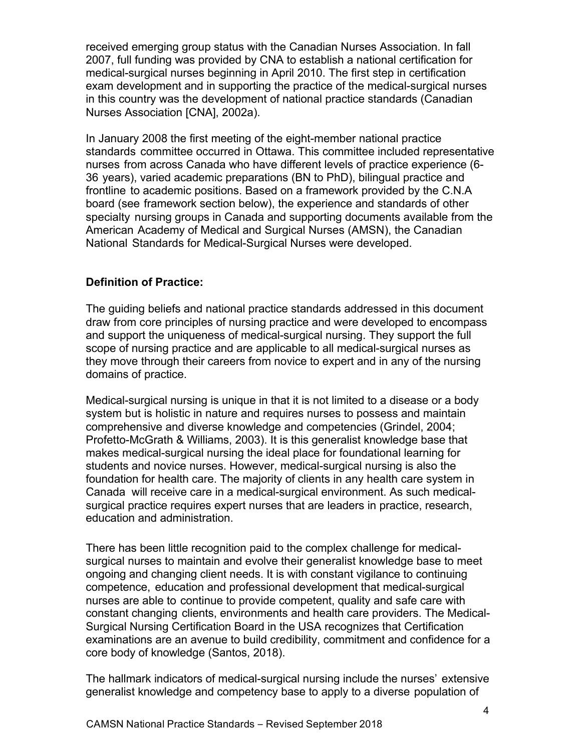received emerging group status with the Canadian Nurses Association. In fall 2007, full funding was provided by CNA to establish a national certification for medical-surgical nurses beginning in April 2010. The first step in certification exam development and in supporting the practice of the medical-surgical nurses in this country was the development of national practice standards (Canadian Nurses Association [CNA], 2002a).

In January 2008 the first meeting of the eight-member national practice standards committee occurred in Ottawa. This committee included representative nurses from across Canada who have different levels of practice experience (6- 36 years), varied academic preparations (BN to PhD), bilingual practice and frontline to academic positions. Based on a framework provided by the C.N.A board (see framework section below), the experience and standards of other specialty nursing groups in Canada and supporting documents available from the American Academy of Medical and Surgical Nurses (AMSN), the Canadian National Standards for Medical-Surgical Nurses were developed.

## **Definition of Practice:**

The guiding beliefs and national practice standards addressed in this document draw from core principles of nursing practice and were developed to encompass and support the uniqueness of medical-surgical nursing. They support the full scope of nursing practice and are applicable to all medical-surgical nurses as they move through their careers from novice to expert and in any of the nursing domains of practice.

Medical-surgical nursing is unique in that it is not limited to a disease or a body system but is holistic in nature and requires nurses to possess and maintain comprehensive and diverse knowledge and competencies (Grindel, 2004; Profetto-McGrath & Williams, 2003). It is this generalist knowledge base that makes medical-surgical nursing the ideal place for foundational learning for students and novice nurses. However, medical-surgical nursing is also the foundation for health care. The majority of clients in any health care system in Canada will receive care in a medical-surgical environment. As such medicalsurgical practice requires expert nurses that are leaders in practice, research, education and administration.

There has been little recognition paid to the complex challenge for medicalsurgical nurses to maintain and evolve their generalist knowledge base to meet ongoing and changing client needs. It is with constant vigilance to continuing competence, education and professional development that medical-surgical nurses are able to continue to provide competent, quality and safe care with constant changing clients, environments and health care providers. The Medical-Surgical Nursing Certification Board in the USA recognizes that Certification examinations are an avenue to build credibility, commitment and confidence for a core body of knowledge (Santos, 2018).

The hallmark indicators of medical-surgical nursing include the nurses' extensive generalist knowledge and competency base to apply to a diverse population of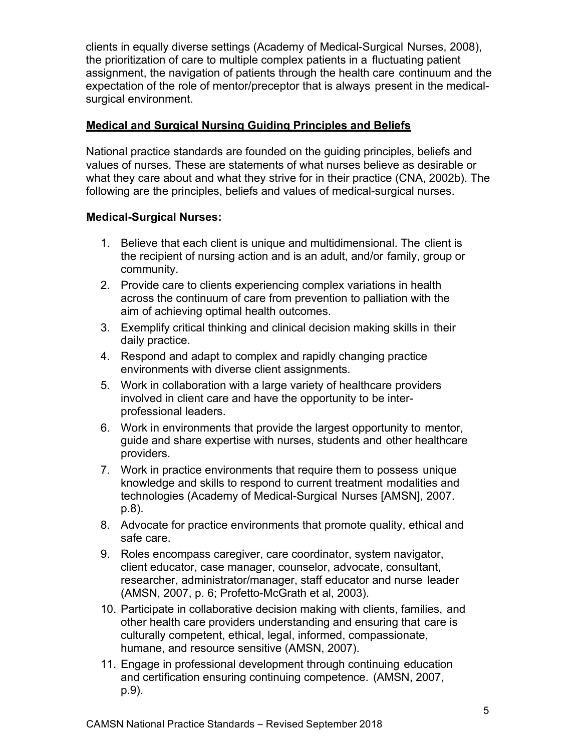clients in equally diverse settings (Academy of Medical-Surgical Nurses, 2008), the prioritization of care to multiple complex patients in a fluctuating patient assignment, the navigation of patients through the health care continuum and the expectation of the role of mentor/preceptor that is always present in the medicalsurgical environment.

### **Medical and Surgical Nursing Guiding Principles and Beliefs**

National practice standards are founded on the guiding principles, beliefs and values of nurses. These are statements of what nurses believe as desirable or what they care about and what they strive for in their practice (CNA, 2002b). The following are the principles, beliefs and values of medical-surgical nurses.

- 1. Believe that each client is unique and multidimensional. The client is the recipient of nursing action and is an adult, and/or family, group or community.
- 2. Provide care to clients experiencing complex variations in health across the continuum of care from prevention to palliation with the aim of achieving optimal health outcomes.
- 3. Exemplify critical thinking and clinical decision making skills in their daily practice.
- 4. Respond and adapt to complex and rapidly changing practice environments with diverse client assignments.
- 5. Work in collaboration with a large variety of healthcare providers involved in client care and have the opportunity to be interprofessional leaders.
- 6. Work in environments that provide the largest opportunity to mentor, guide and share expertise with nurses, students and other healthcare providers.
- 7. Work in practice environments that require them to possess unique knowledge and skills to respond to current treatment modalities and technologies (Academy of Medical-Surgical Nurses [AMSN], 2007. p.8).
- 8. Advocate for practice environments that promote quality, ethical and safe care.
- 9. Roles encompass caregiver, care coordinator, system navigator, client educator, case manager, counselor, advocate, consultant, researcher, administrator/manager, staff educator and nurse leader (AMSN, 2007, p. 6; Profetto-McGrath et al, 2003).
- 10. Participate in collaborative decision making with clients, families, and other health care providers understanding and ensuring that care is culturally competent, ethical, legal, informed, compassionate, humane, and resource sensitive (AMSN, 2007).
- 11. Engage in professional development through continuing education and certification ensuring continuing competence. (AMSN, 2007, p.9).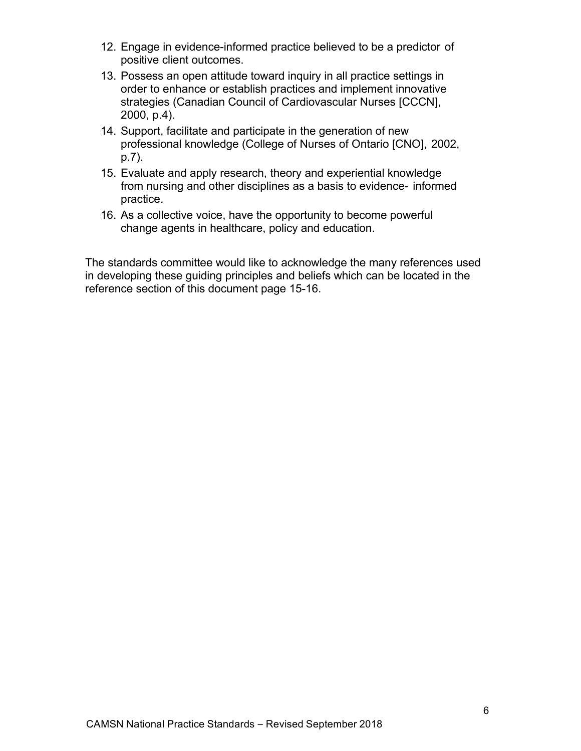- 12. Engage in evidence-informed practice believed to be a predictor of positive client outcomes.
- 13. Possess an open attitude toward inquiry in all practice settings in order to enhance or establish practices and implement innovative strategies (Canadian Council of Cardiovascular Nurses [CCCN], 2000, p.4).
- 14. Support, facilitate and participate in the generation of new professional knowledge (College of Nurses of Ontario [CNO], 2002, p.7).
- 15. Evaluate and apply research, theory and experiential knowledge from nursing and other disciplines as a basis to evidence- informed practice.
- 16. As a collective voice, have the opportunity to become powerful change agents in healthcare, policy and education.

The standards committee would like to acknowledge the many references used in developing these guiding principles and beliefs which can be located in the reference section of this document page 15-16.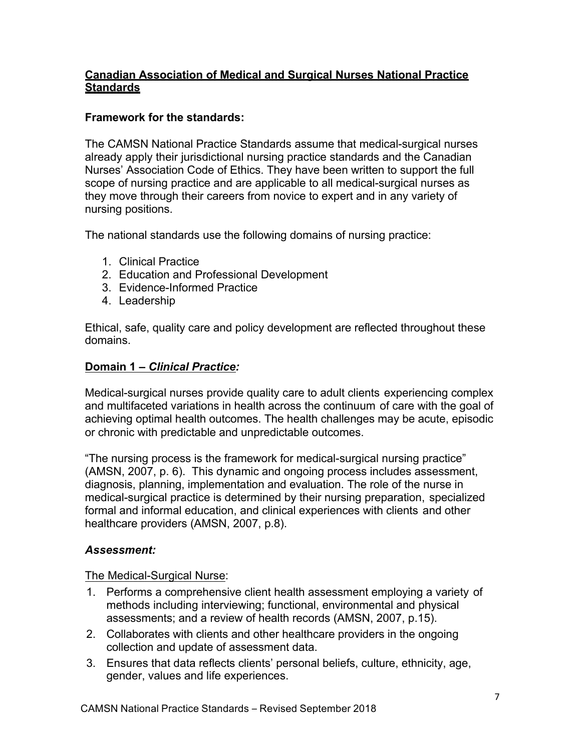## **Canadian Association of Medical and Surgical Nurses National Practice Standards**

## **Framework for the standards:**

The CAMSN National Practice Standards assume that medical-surgical nurses already apply their jurisdictional nursing practice standards and the Canadian Nurses' Association Code of Ethics. They have been written to support the full scope of nursing practice and are applicable to all medical-surgical nurses as they move through their careers from novice to expert and in any variety of nursing positions.

The national standards use the following domains of nursing practice:

- 1. Clinical Practice
- 2. Education and Professional Development
- 3. Evidence-Informed Practice
- 4. Leadership

Ethical, safe, quality care and policy development are reflected throughout these domains.

#### **Domain 1 –** *Clinical Practice:*

Medical-surgical nurses provide quality care to adult clients experiencing complex and multifaceted variations in health across the continuum of care with the goal of achieving optimal health outcomes. The health challenges may be acute, episodic or chronic with predictable and unpredictable outcomes.

"The nursing process is the framework for medical-surgical nursing practice" (AMSN, 2007, p. 6). This dynamic and ongoing process includes assessment, diagnosis, planning, implementation and evaluation. The role of the nurse in medical-surgical practice is determined by their nursing preparation, specialized formal and informal education, and clinical experiences with clients and other healthcare providers (AMSN, 2007, p.8).

#### *Assessment:*

- 1. Performs a comprehensive client health assessment employing a variety of methods including interviewing; functional, environmental and physical assessments; and a review of health records (AMSN, 2007, p.15).
- 2. Collaborates with clients and other healthcare providers in the ongoing collection and update of assessment data.
- 3. Ensures that data reflects clients' personal beliefs, culture, ethnicity, age, gender, values and life experiences.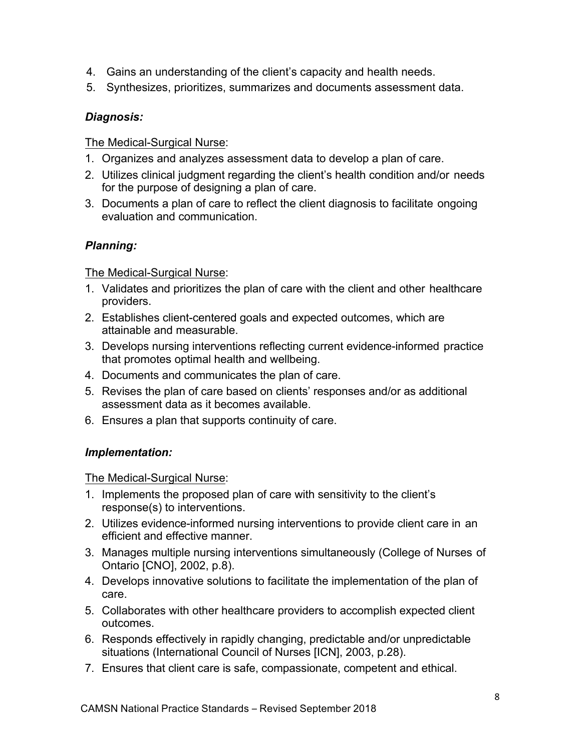- 4. Gains an understanding of the client's capacity and health needs.
- 5. Synthesizes, prioritizes, summarizes and documents assessment data.

## *Diagnosis:*

The Medical-Surgical Nurse:

- 1. Organizes and analyzes assessment data to develop a plan of care.
- 2. Utilizes clinical judgment regarding the client's health condition and/or needs for the purpose of designing a plan of care.
- 3. Documents a plan of care to reflect the client diagnosis to facilitate ongoing evaluation and communication.

## *Planning:*

The Medical-Surgical Nurse:

- 1. Validates and prioritizes the plan of care with the client and other healthcare providers.
- 2. Establishes client-centered goals and expected outcomes, which are attainable and measurable.
- 3. Develops nursing interventions reflecting current evidence-informed practice that promotes optimal health and wellbeing.
- 4. Documents and communicates the plan of care.
- 5. Revises the plan of care based on clients' responses and/or as additional assessment data as it becomes available.
- 6. Ensures a plan that supports continuity of care.

## *Implementation:*

- 1. Implements the proposed plan of care with sensitivity to the client's response(s) to interventions.
- 2. Utilizes evidence-informed nursing interventions to provide client care in an efficient and effective manner.
- 3. Manages multiple nursing interventions simultaneously (College of Nurses of Ontario [CNO], 2002, p.8).
- 4. Develops innovative solutions to facilitate the implementation of the plan of care.
- 5. Collaborates with other healthcare providers to accomplish expected client outcomes.
- 6. Responds effectively in rapidly changing, predictable and/or unpredictable situations (International Council of Nurses [ICN], 2003, p.28).
- 7. Ensures that client care is safe, compassionate, competent and ethical.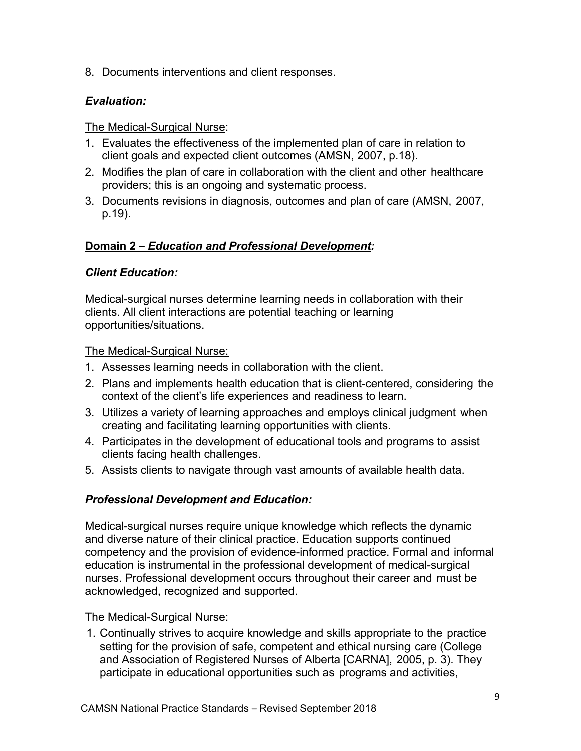8. Documents interventions and client responses.

## *Evaluation:*

#### The Medical-Surgical Nurse:

- 1. Evaluates the effectiveness of the implemented plan of care in relation to client goals and expected client outcomes (AMSN, 2007, p.18).
- 2. Modifies the plan of care in collaboration with the client and other healthcare providers; this is an ongoing and systematic process.
- 3. Documents revisions in diagnosis, outcomes and plan of care (AMSN, 2007, p.19).

## **Domain 2 –** *Education and Professional Development:*

## *Client Education:*

Medical-surgical nurses determine learning needs in collaboration with their clients. All client interactions are potential teaching or learning opportunities/situations.

The Medical-Surgical Nurse:

- 1. Assesses learning needs in collaboration with the client.
- 2. Plans and implements health education that is client-centered, considering the context of the client's life experiences and readiness to learn.
- 3. Utilizes a variety of learning approaches and employs clinical judgment when creating and facilitating learning opportunities with clients.
- 4. Participates in the development of educational tools and programs to assist clients facing health challenges.
- 5. Assists clients to navigate through vast amounts of available health data.

## *Professional Development and Education:*

Medical-surgical nurses require unique knowledge which reflects the dynamic and diverse nature of their clinical practice. Education supports continued competency and the provision of evidence-informed practice. Formal and informal education is instrumental in the professional development of medical-surgical nurses. Professional development occurs throughout their career and must be acknowledged, recognized and supported.

#### The Medical-Surgical Nurse:

1. Continually strives to acquire knowledge and skills appropriate to the practice setting for the provision of safe, competent and ethical nursing care (College and Association of Registered Nurses of Alberta [CARNA], 2005, p. 3). They participate in educational opportunities such as programs and activities,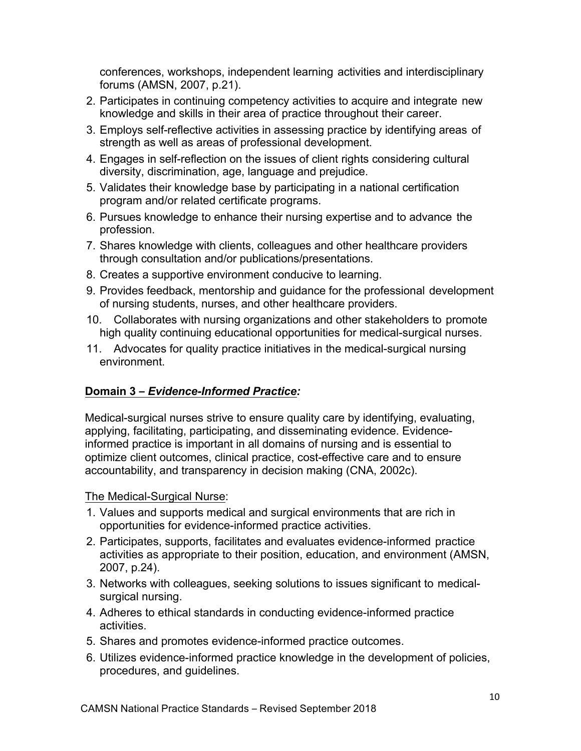conferences, workshops, independent learning activities and interdisciplinary forums (AMSN, 2007, p.21).

- 2. Participates in continuing competency activities to acquire and integrate new knowledge and skills in their area of practice throughout their career.
- 3. Employs self-reflective activities in assessing practice by identifying areas of strength as well as areas of professional development.
- 4. Engages in self-reflection on the issues of client rights considering cultural diversity, discrimination, age, language and prejudice.
- 5. Validates their knowledge base by participating in a national certification program and/or related certificate programs.
- 6. Pursues knowledge to enhance their nursing expertise and to advance the profession.
- 7. Shares knowledge with clients, colleagues and other healthcare providers through consultation and/or publications/presentations.
- 8. Creates a supportive environment conducive to learning.
- 9. Provides feedback, mentorship and guidance for the professional development of nursing students, nurses, and other healthcare providers.
- 10. Collaborates with nursing organizations and other stakeholders to promote high quality continuing educational opportunities for medical-surgical nurses.
- 11. Advocates for quality practice initiatives in the medical-surgical nursing environment.

## **Domain 3 –** *Evidence-Informed Practice:*

Medical-surgical nurses strive to ensure quality care by identifying, evaluating, applying, facilitating, participating, and disseminating evidence. Evidenceinformed practice is important in all domains of nursing and is essential to optimize client outcomes, clinical practice, cost-effective care and to ensure accountability, and transparency in decision making (CNA, 2002c).

- 1. Values and supports medical and surgical environments that are rich in opportunities for evidence-informed practice activities.
- 2. Participates, supports, facilitates and evaluates evidence-informed practice activities as appropriate to their position, education, and environment (AMSN, 2007, p.24).
- 3. Networks with colleagues, seeking solutions to issues significant to medicalsurgical nursing.
- 4. Adheres to ethical standards in conducting evidence-informed practice activities.
- 5. Shares and promotes evidence-informed practice outcomes.
- 6. Utilizes evidence-informed practice knowledge in the development of policies, procedures, and guidelines.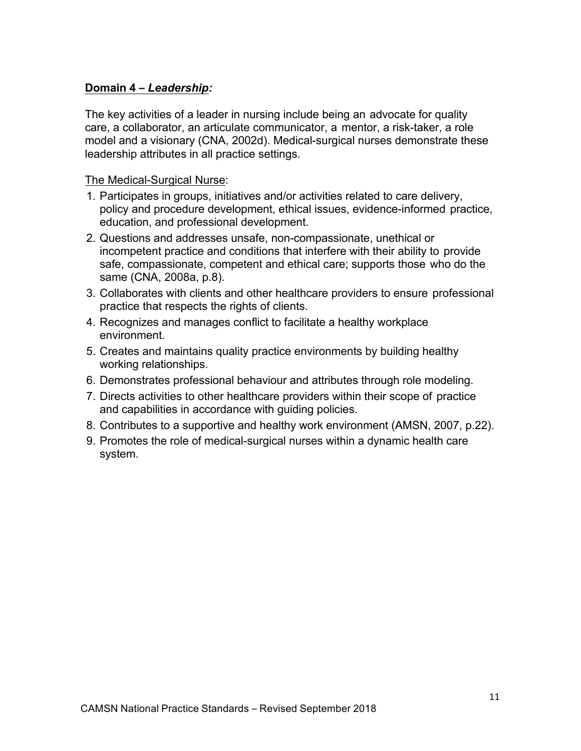## **Domain 4 –** *Leadership:*

The key activities of a leader in nursing include being an advocate for quality care, a collaborator, an articulate communicator, a mentor, a risk-taker, a role model and a visionary (CNA, 2002d). Medical-surgical nurses demonstrate these leadership attributes in all practice settings.

- 1. Participates in groups, initiatives and/or activities related to care delivery, policy and procedure development, ethical issues, evidence-informed practice, education, and professional development.
- 2. Questions and addresses unsafe, non-compassionate, unethical or incompetent practice and conditions that interfere with their ability to provide safe, compassionate, competent and ethical care; supports those who do the same (CNA, 2008a, p.8).
- 3. Collaborates with clients and other healthcare providers to ensure professional practice that respects the rights of clients.
- 4. Recognizes and manages conflict to facilitate a healthy workplace environment.
- 5. Creates and maintains quality practice environments by building healthy working relationships.
- 6. Demonstrates professional behaviour and attributes through role modeling.
- 7. Directs activities to other healthcare providers within their scope of practice and capabilities in accordance with guiding policies.
- 8. Contributes to a supportive and healthy work environment (AMSN, 2007, p.22).
- 9. Promotes the role of medical-surgical nurses within a dynamic health care system.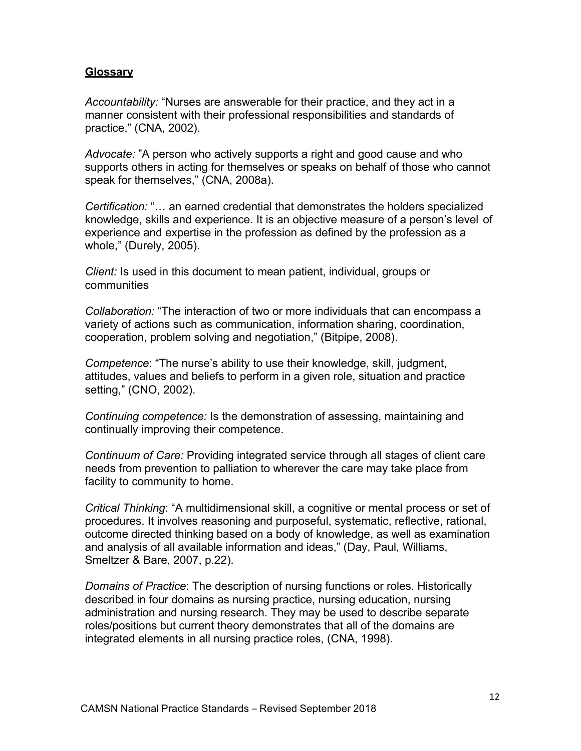#### **Glossary**

*Accountability:* "Nurses are answerable for their practice, and they act in a manner consistent with their professional responsibilities and standards of practice," (CNA, 2002).

*Advocate:* "A person who actively supports a right and good cause and who supports others in acting for themselves or speaks on behalf of those who cannot speak for themselves," (CNA, 2008a).

*Certification:* "… an earned credential that demonstrates the holders specialized knowledge, skills and experience. It is an objective measure of a person's level of experience and expertise in the profession as defined by the profession as a whole," (Durely, 2005).

*Client:* Is used in this document to mean patient, individual, groups or communities

*Collaboration:* "The interaction of two or more individuals that can encompass a variety of actions such as communication, information sharing, coordination, cooperation, problem solving and negotiation," (Bitpipe, 2008).

*Competence*: "The nurse's ability to use their knowledge, skill, judgment, attitudes, values and beliefs to perform in a given role, situation and practice setting," (CNO, 2002).

*Continuing competence:* Is the demonstration of assessing, maintaining and continually improving their competence.

*Continuum of Care:* Providing integrated service through all stages of client care needs from prevention to palliation to wherever the care may take place from facility to community to home.

*Critical Thinking*: "A multidimensional skill, a cognitive or mental process or set of procedures. It involves reasoning and purposeful, systematic, reflective, rational, outcome directed thinking based on a body of knowledge, as well as examination and analysis of all available information and ideas," (Day, Paul, Williams, Smeltzer & Bare, 2007, p.22).

*Domains of Practice*: The description of nursing functions or roles. Historically described in four domains as nursing practice, nursing education, nursing administration and nursing research. They may be used to describe separate roles/positions but current theory demonstrates that all of the domains are integrated elements in all nursing practice roles, (CNA, 1998).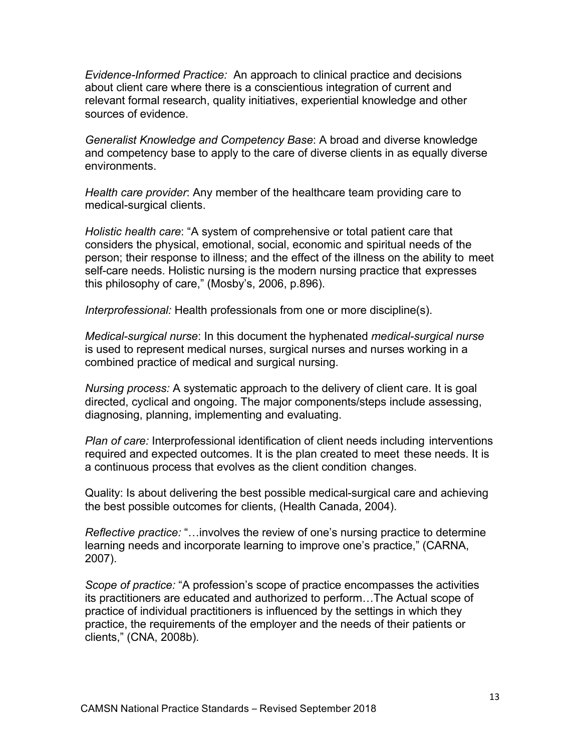*Evidence-Informed Practice:* An approach to clinical practice and decisions about client care where there is a conscientious integration of current and relevant formal research, quality initiatives, experiential knowledge and other sources of evidence.

*Generalist Knowledge and Competency Base*: A broad and diverse knowledge and competency base to apply to the care of diverse clients in as equally diverse environments.

*Health care provider*: Any member of the healthcare team providing care to medical-surgical clients.

*Holistic health care*: "A system of comprehensive or total patient care that considers the physical, emotional, social, economic and spiritual needs of the person; their response to illness; and the effect of the illness on the ability to meet self-care needs. Holistic nursing is the modern nursing practice that expresses this philosophy of care," (Mosby's, 2006, p.896).

*Interprofessional:* Health professionals from one or more discipline(s).

*Medical-surgical nurse*: In this document the hyphenated *medical-surgical nurse* is used to represent medical nurses, surgical nurses and nurses working in a combined practice of medical and surgical nursing.

*Nursing process:* A systematic approach to the delivery of client care. It is goal directed, cyclical and ongoing. The major components/steps include assessing, diagnosing, planning, implementing and evaluating.

*Plan of care:* Interprofessional identification of client needs including interventions required and expected outcomes. It is the plan created to meet these needs. It is a continuous process that evolves as the client condition changes.

Quality: Is about delivering the best possible medical-surgical care and achieving the best possible outcomes for clients, (Health Canada, 2004).

*Reflective practice:* "…involves the review of one's nursing practice to determine learning needs and incorporate learning to improve one's practice," (CARNA, 2007).

*Scope of practice:* "A profession's scope of practice encompasses the activities its practitioners are educated and authorized to perform…The Actual scope of practice of individual practitioners is influenced by the settings in which they practice, the requirements of the employer and the needs of their patients or clients," (CNA, 2008b).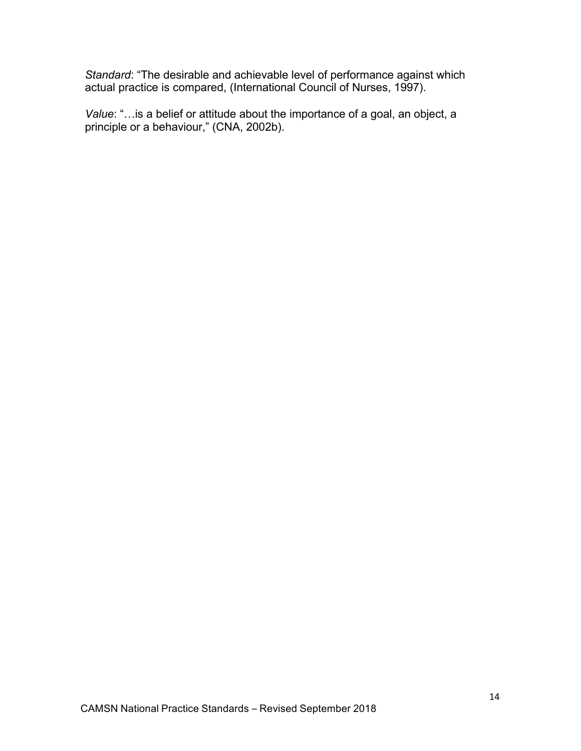*Standard*: "The desirable and achievable level of performance against which actual practice is compared, (International Council of Nurses, 1997).

*Value*: "…is a belief or attitude about the importance of a goal, an object, a principle or a behaviour," (CNA, 2002b).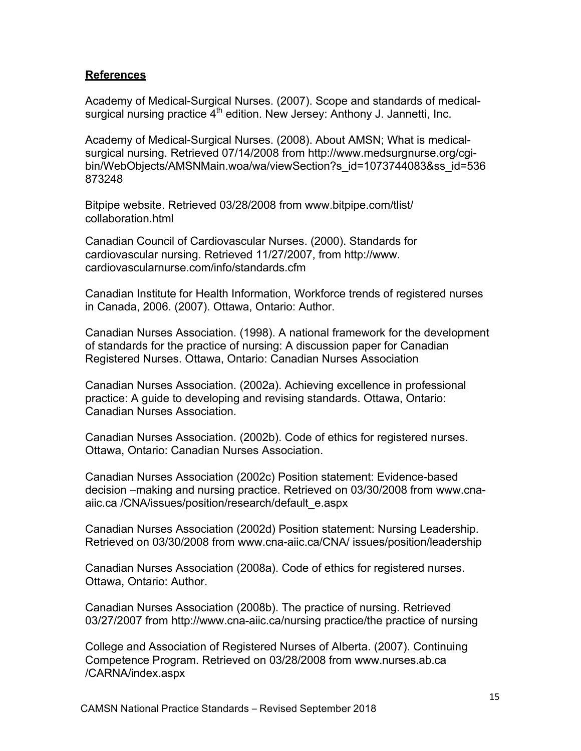#### **References**

Academy of Medical-Surgical Nurses. (2007). Scope and standards of medicalsurgical nursing practice  $4<sup>th</sup>$  edition. New Jersey: Anthony J. Jannetti, Inc.

Academy of Medical-Surgical Nurses. (2008). About AMSN; What is medicalsurgical nursing. Retrieved 07/14/2008 from http://www.medsurgnurse.org/cgibin/WebObjects/AMSNMain.woa/wa/viewSection?s\_id=1073744083&ss\_id=536 873248

Bitpipe website. Retrieved 03/28/2008 from www.bitpipe.com/tlist/ collaboration.html

Canadian Council of Cardiovascular Nurses. (2000). Standards for cardiovascular nursing. Retrieved 11/27/2007, from http://www. cardiovascularnurse.com/info/standards.cfm

Canadian Institute for Health Information, Workforce trends of registered nurses in Canada, 2006. (2007). Ottawa, Ontario: Author.

Canadian Nurses Association. (1998). A national framework for the development of standards for the practice of nursing: A discussion paper for Canadian Registered Nurses. Ottawa, Ontario: Canadian Nurses Association

Canadian Nurses Association. (2002a). Achieving excellence in professional practice: A guide to developing and revising standards. Ottawa, Ontario: Canadian Nurses Association.

Canadian Nurses Association. (2002b). Code of ethics for registered nurses. Ottawa, Ontario: Canadian Nurses Association.

Canadian Nurses Association (2002c) Position statement: Evidence-based decision –making and nursing practice. Retrieved on 03/30/2008 from www.cnaaiic.ca /CNA/issues/position/research/default\_e.aspx

Canadian Nurses Association (2002d) Position statement: Nursing Leadership. Retrieved on 03/30/2008 from www.cna-aiic.ca/CNA/ issues/position/leadership

Canadian Nurses Association (2008a). Code of ethics for registered nurses. Ottawa, Ontario: Author.

Canadian Nurses Association (2008b). The practice of nursing. Retrieved 03/27/2007 from http://www.cna-aiic.ca/nursing practice/the practice of nursing

College and Association of Registered Nurses of Alberta. (2007). Continuing Competence Program. Retrieved on 03/28/2008 from www.nurses.ab.ca /CARNA/index.aspx